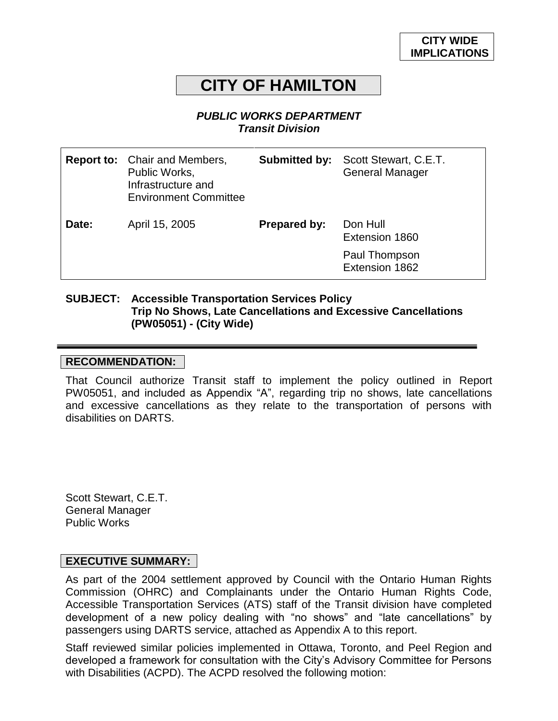# **CITY OF HAMILTON**

#### *PUBLIC WORKS DEPARTMENT Transit Division*

|       | <b>Report to:</b> Chair and Members,<br>Public Works,<br>Infrastructure and<br><b>Environment Committee</b> | Submitted by:       | Scott Stewart, C.E.T.<br><b>General Manager</b> |
|-------|-------------------------------------------------------------------------------------------------------------|---------------------|-------------------------------------------------|
| Date: | April 15, 2005                                                                                              | <b>Prepared by:</b> | Don Hull<br>Extension 1860                      |
|       |                                                                                                             |                     | Paul Thompson<br>Extension 1862                 |

#### **SUBJECT: Accessible Transportation Services Policy Trip No Shows, Late Cancellations and Excessive Cancellations (PW05051) - (City Wide)**

#### **RECOMMENDATION:**

That Council authorize Transit staff to implement the policy outlined in Report PW05051, and included as Appendix "A", regarding trip no shows, late cancellations and excessive cancellations as they relate to the transportation of persons with disabilities on DARTS.

Scott Stewart, C.E.T. General Manager Public Works

#### **EXECUTIVE SUMMARY:**

As part of the 2004 settlement approved by Council with the Ontario Human Rights Commission (OHRC) and Complainants under the Ontario Human Rights Code, Accessible Transportation Services (ATS) staff of the Transit division have completed development of a new policy dealing with "no shows" and "late cancellations" by passengers using DARTS service, attached as Appendix A to this report.

Staff reviewed similar policies implemented in Ottawa, Toronto, and Peel Region and developed a framework for consultation with the City's Advisory Committee for Persons with Disabilities (ACPD). The ACPD resolved the following motion: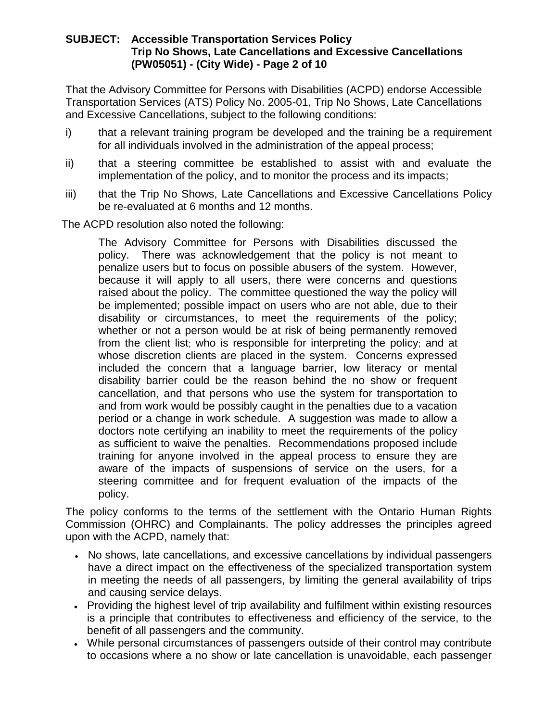#### **SUBJECT: Accessible Transportation Services Policy Trip No Shows, Late Cancellations and Excessive Cancellations (PW05051) - (City Wide) - Page 2 of 10**

That the Advisory Committee for Persons with Disabilities (ACPD) endorse Accessible Transportation Services (ATS) Policy No. 2005-01, Trip No Shows, Late Cancellations and Excessive Cancellations, subject to the following conditions:

- i) that a relevant training program be developed and the training be a requirement for all individuals involved in the administration of the appeal process;
- ii) that a steering committee be established to assist with and evaluate the implementation of the policy, and to monitor the process and its impacts;
- iii) that the Trip No Shows, Late Cancellations and Excessive Cancellations Policy be re-evaluated at 6 months and 12 months.

The ACPD resolution also noted the following:

The Advisory Committee for Persons with Disabilities discussed the policy. There was acknowledgement that the policy is not meant to penalize users but to focus on possible abusers of the system. However, because it will apply to all users, there were concerns and questions raised about the policy. The committee questioned the way the policy will be implemented; possible impact on users who are not able, due to their disability or circumstances, to meet the requirements of the policy; whether or not a person would be at risk of being permanently removed from the client list; who is responsible for interpreting the policy; and at whose discretion clients are placed in the system. Concerns expressed included the concern that a language barrier, low literacy or mental disability barrier could be the reason behind the no show or frequent cancellation, and that persons who use the system for transportation to and from work would be possibly caught in the penalties due to a vacation period or a change in work schedule. A suggestion was made to allow a doctors note certifying an inability to meet the requirements of the policy as sufficient to waive the penalties. Recommendations proposed include training for anyone involved in the appeal process to ensure they are aware of the impacts of suspensions of service on the users, for a steering committee and for frequent evaluation of the impacts of the policy.

The policy conforms to the terms of the settlement with the Ontario Human Rights Commission (OHRC) and Complainants. The policy addresses the principles agreed upon with the ACPD, namely that:

- No shows, late cancellations, and excessive cancellations by individual passengers have a direct impact on the effectiveness of the specialized transportation system in meeting the needs of all passengers, by limiting the general availability of trips and causing service delays.
- Providing the highest level of trip availability and fulfilment within existing resources is a principle that contributes to effectiveness and efficiency of the service, to the benefit of all passengers and the community.
- While personal circumstances of passengers outside of their control may contribute to occasions where a no show or late cancellation is unavoidable, each passenger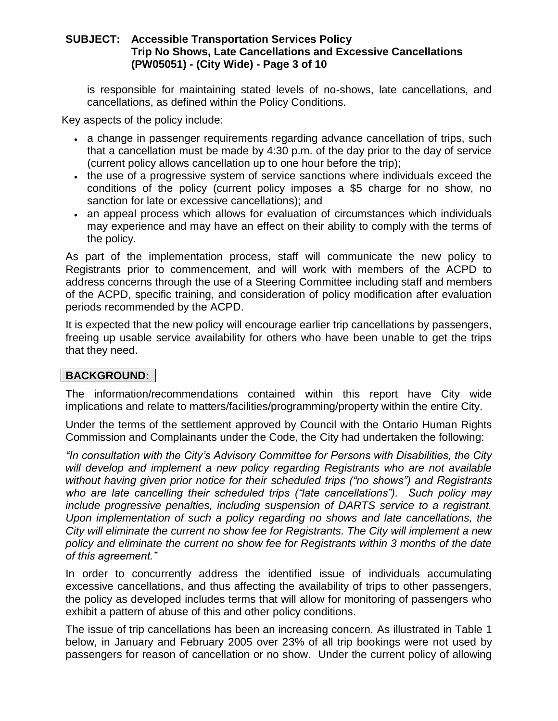#### **SUBJECT: Accessible Transportation Services Policy Trip No Shows, Late Cancellations and Excessive Cancellations (PW05051) - (City Wide) - Page 3 of 10**

is responsible for maintaining stated levels of no-shows, late cancellations, and cancellations, as defined within the Policy Conditions.

Key aspects of the policy include:

- a change in passenger requirements regarding advance cancellation of trips, such that a cancellation must be made by 4:30 p.m. of the day prior to the day of service (current policy allows cancellation up to one hour before the trip);
- the use of a progressive system of service sanctions where individuals exceed the conditions of the policy (current policy imposes a \$5 charge for no show, no sanction for late or excessive cancellations); and
- an appeal process which allows for evaluation of circumstances which individuals may experience and may have an effect on their ability to comply with the terms of the policy.

As part of the implementation process, staff will communicate the new policy to Registrants prior to commencement, and will work with members of the ACPD to address concerns through the use of a Steering Committee including staff and members of the ACPD, specific training, and consideration of policy modification after evaluation periods recommended by the ACPD.

It is expected that the new policy will encourage earlier trip cancellations by passengers, freeing up usable service availability for others who have been unable to get the trips that they need.

# **BACKGROUND:**

The information/recommendations contained within this report have City wide implications and relate to matters/facilities/programming/property within the entire City.

Under the terms of the settlement approved by Council with the Ontario Human Rights Commission and Complainants under the Code, the City had undertaken the following:

*"In consultation with the City's Advisory Committee for Persons with Disabilities, the City*  will develop and implement a new policy regarding Registrants who are not available *without having given prior notice for their scheduled trips ("no shows") and Registrants who are late cancelling their scheduled trips ("late cancellations"). Such policy may include progressive penalties, including suspension of DARTS service to a registrant. Upon implementation of such a policy regarding no shows and late cancellations, the City will eliminate the current no show fee for Registrants. The City will implement a new policy and eliminate the current no show fee for Registrants within 3 months of the date of this agreement."*

In order to concurrently address the identified issue of individuals accumulating excessive cancellations, and thus affecting the availability of trips to other passengers, the policy as developed includes terms that will allow for monitoring of passengers who exhibit a pattern of abuse of this and other policy conditions.

The issue of trip cancellations has been an increasing concern. As illustrated in Table 1 below, in January and February 2005 over 23% of all trip bookings were not used by passengers for reason of cancellation or no show. Under the current policy of allowing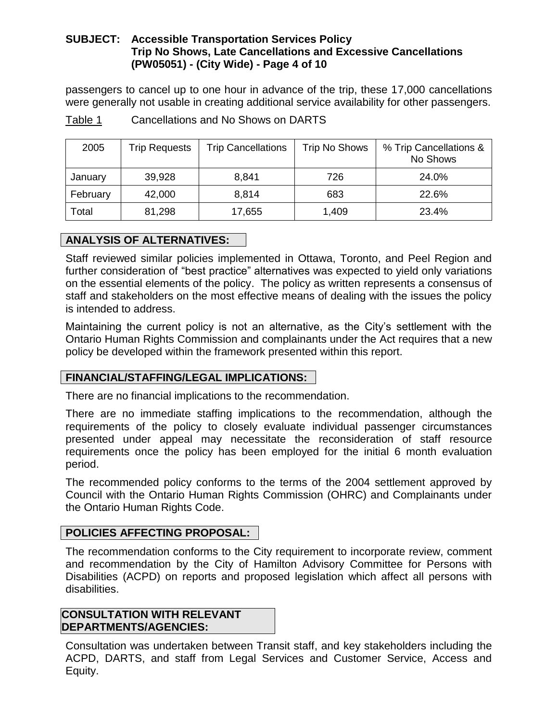# **SUBJECT: Accessible Transportation Services Policy Trip No Shows, Late Cancellations and Excessive Cancellations (PW05051) - (City Wide) - Page 4 of 10**

passengers to cancel up to one hour in advance of the trip, these 17,000 cancellations were generally not usable in creating additional service availability for other passengers.

| 2005     | <b>Trip Requests</b> | <b>Trip Cancellations</b> | <b>Trip No Shows</b> | % Trip Cancellations &<br>No Shows |
|----------|----------------------|---------------------------|----------------------|------------------------------------|
| January  | 39,928               | 8,841                     | 726                  | 24.0%                              |
| February | 42,000               | 8,814                     | 683                  | 22.6%                              |
| Total    | 81,298               | 17,655                    | 1,409                | 23.4%                              |

Table 1 Cancellations and No Shows on DARTS

# **ANALYSIS OF ALTERNATIVES:**

Staff reviewed similar policies implemented in Ottawa, Toronto, and Peel Region and further consideration of "best practice" alternatives was expected to yield only variations on the essential elements of the policy. The policy as written represents a consensus of staff and stakeholders on the most effective means of dealing with the issues the policy is intended to address.

Maintaining the current policy is not an alternative, as the City's settlement with the Ontario Human Rights Commission and complainants under the Act requires that a new policy be developed within the framework presented within this report.

# **FINANCIAL/STAFFING/LEGAL IMPLICATIONS:**

There are no financial implications to the recommendation.

There are no immediate staffing implications to the recommendation, although the requirements of the policy to closely evaluate individual passenger circumstances presented under appeal may necessitate the reconsideration of staff resource requirements once the policy has been employed for the initial 6 month evaluation period.

The recommended policy conforms to the terms of the 2004 settlement approved by Council with the Ontario Human Rights Commission (OHRC) and Complainants under the Ontario Human Rights Code.

# **POLICIES AFFECTING PROPOSAL:**

The recommendation conforms to the City requirement to incorporate review, comment and recommendation by the City of Hamilton Advisory Committee for Persons with Disabilities (ACPD) on reports and proposed legislation which affect all persons with disabilities.

#### **CONSULTATION WITH RELEVANT DEPARTMENTS/AGENCIES:**

Consultation was undertaken between Transit staff, and key stakeholders including the ACPD, DARTS, and staff from Legal Services and Customer Service, Access and Equity.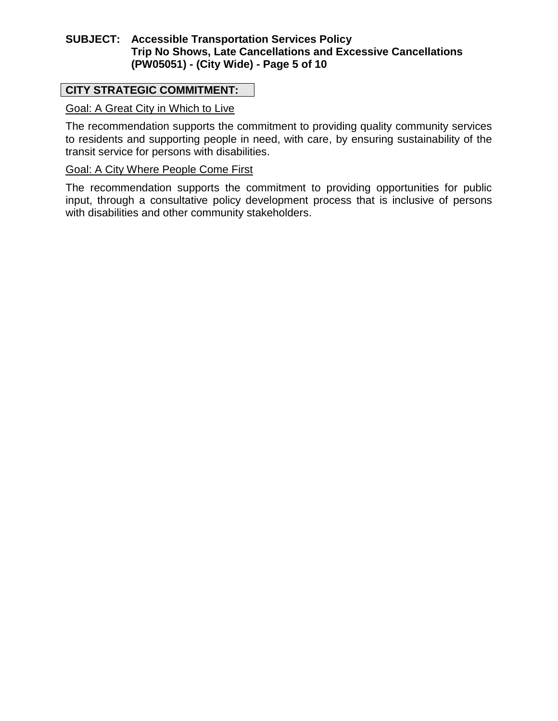# **SUBJECT: Accessible Transportation Services Policy Trip No Shows, Late Cancellations and Excessive Cancellations (PW05051) - (City Wide) - Page 5 of 10**

# **CITY STRATEGIC COMMITMENT:**

# Goal: A Great City in Which to Live

The recommendation supports the commitment to providing quality community services to residents and supporting people in need, with care, by ensuring sustainability of the transit service for persons with disabilities.

#### Goal: A City Where People Come First

The recommendation supports the commitment to providing opportunities for public input, through a consultative policy development process that is inclusive of persons with disabilities and other community stakeholders.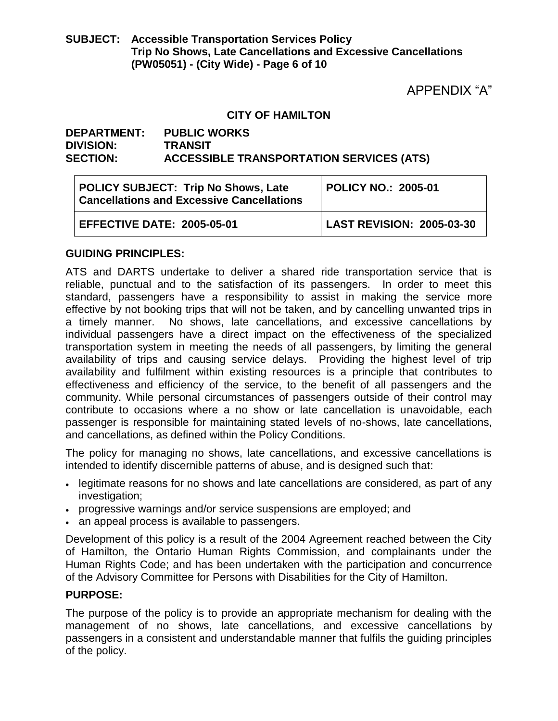# **SUBJECT: Accessible Transportation Services Policy Trip No Shows, Late Cancellations and Excessive Cancellations (PW05051) - (City Wide) - Page 6 of 10**

APPENDIX "A"

#### **CITY OF HAMILTON**

#### **DEPARTMENT: PUBLIC WORKS DIVISION: TRANSIT SECTION: ACCESSIBLE TRANSPORTATION SERVICES (ATS)**

| <b>POLICY SUBJECT: Trip No Shows, Late</b><br><b>Cancellations and Excessive Cancellations</b> | POLICY NO.: 2005-01       |  |
|------------------------------------------------------------------------------------------------|---------------------------|--|
| <b>EFFECTIVE DATE: 2005-05-01</b>                                                              | LAST REVISION: 2005-03-30 |  |

#### **GUIDING PRINCIPLES:**

ATS and DARTS undertake to deliver a shared ride transportation service that is reliable, punctual and to the satisfaction of its passengers. In order to meet this standard, passengers have a responsibility to assist in making the service more effective by not booking trips that will not be taken, and by cancelling unwanted trips in a timely manner. No shows, late cancellations, and excessive cancellations by individual passengers have a direct impact on the effectiveness of the specialized transportation system in meeting the needs of all passengers, by limiting the general availability of trips and causing service delays. Providing the highest level of trip availability and fulfilment within existing resources is a principle that contributes to effectiveness and efficiency of the service, to the benefit of all passengers and the community. While personal circumstances of passengers outside of their control may contribute to occasions where a no show or late cancellation is unavoidable, each passenger is responsible for maintaining stated levels of no-shows, late cancellations, and cancellations, as defined within the Policy Conditions.

The policy for managing no shows, late cancellations, and excessive cancellations is intended to identify discernible patterns of abuse, and is designed such that:

- legitimate reasons for no shows and late cancellations are considered, as part of any investigation;
- progressive warnings and/or service suspensions are employed; and
- an appeal process is available to passengers.

Development of this policy is a result of the 2004 Agreement reached between the City of Hamilton, the Ontario Human Rights Commission, and complainants under the Human Rights Code; and has been undertaken with the participation and concurrence of the Advisory Committee for Persons with Disabilities for the City of Hamilton.

#### **PURPOSE:**

The purpose of the policy is to provide an appropriate mechanism for dealing with the management of no shows, late cancellations, and excessive cancellations by passengers in a consistent and understandable manner that fulfils the guiding principles of the policy.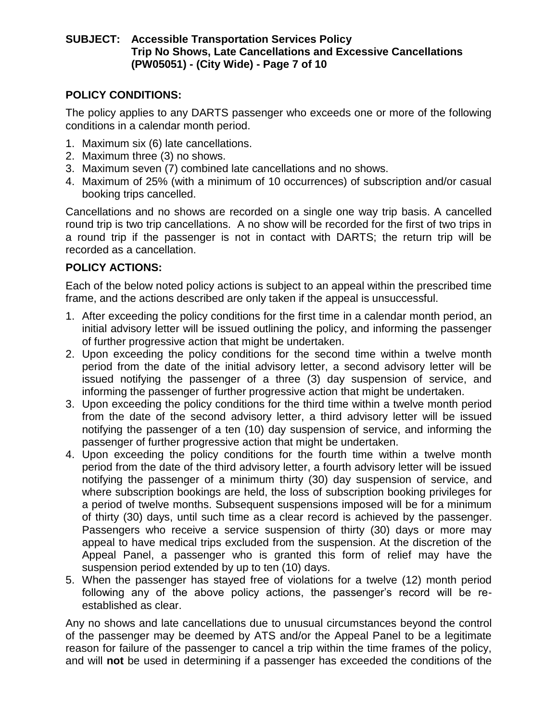# **SUBJECT: Accessible Transportation Services Policy Trip No Shows, Late Cancellations and Excessive Cancellations (PW05051) - (City Wide) - Page 7 of 10**

# **POLICY CONDITIONS:**

The policy applies to any DARTS passenger who exceeds one or more of the following conditions in a calendar month period.

- 1. Maximum six (6) late cancellations.
- 2. Maximum three (3) no shows.
- 3. Maximum seven (7) combined late cancellations and no shows.
- 4. Maximum of 25% (with a minimum of 10 occurrences) of subscription and/or casual booking trips cancelled.

Cancellations and no shows are recorded on a single one way trip basis. A cancelled round trip is two trip cancellations. A no show will be recorded for the first of two trips in a round trip if the passenger is not in contact with DARTS; the return trip will be recorded as a cancellation.

# **POLICY ACTIONS:**

Each of the below noted policy actions is subject to an appeal within the prescribed time frame, and the actions described are only taken if the appeal is unsuccessful.

- 1. After exceeding the policy conditions for the first time in a calendar month period, an initial advisory letter will be issued outlining the policy, and informing the passenger of further progressive action that might be undertaken.
- 2. Upon exceeding the policy conditions for the second time within a twelve month period from the date of the initial advisory letter, a second advisory letter will be issued notifying the passenger of a three (3) day suspension of service, and informing the passenger of further progressive action that might be undertaken.
- 3. Upon exceeding the policy conditions for the third time within a twelve month period from the date of the second advisory letter, a third advisory letter will be issued notifying the passenger of a ten (10) day suspension of service, and informing the passenger of further progressive action that might be undertaken.
- 4. Upon exceeding the policy conditions for the fourth time within a twelve month period from the date of the third advisory letter, a fourth advisory letter will be issued notifying the passenger of a minimum thirty (30) day suspension of service, and where subscription bookings are held, the loss of subscription booking privileges for a period of twelve months. Subsequent suspensions imposed will be for a minimum of thirty (30) days, until such time as a clear record is achieved by the passenger. Passengers who receive a service suspension of thirty (30) days or more may appeal to have medical trips excluded from the suspension. At the discretion of the Appeal Panel, a passenger who is granted this form of relief may have the suspension period extended by up to ten (10) days.
- 5. When the passenger has stayed free of violations for a twelve (12) month period following any of the above policy actions, the passenger's record will be reestablished as clear.

Any no shows and late cancellations due to unusual circumstances beyond the control of the passenger may be deemed by ATS and/or the Appeal Panel to be a legitimate reason for failure of the passenger to cancel a trip within the time frames of the policy, and will **not** be used in determining if a passenger has exceeded the conditions of the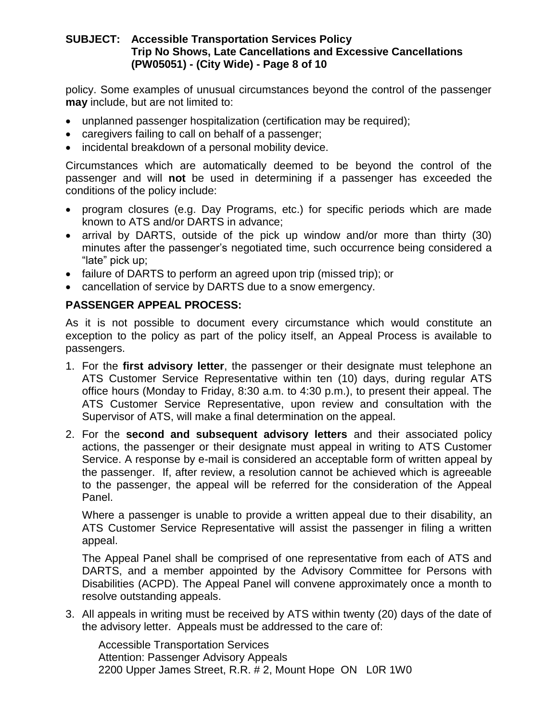#### **SUBJECT: Accessible Transportation Services Policy Trip No Shows, Late Cancellations and Excessive Cancellations (PW05051) - (City Wide) - Page 8 of 10**

policy. Some examples of unusual circumstances beyond the control of the passenger **may** include, but are not limited to:

- unplanned passenger hospitalization (certification may be required);
- caregivers failing to call on behalf of a passenger;
- incidental breakdown of a personal mobility device.

Circumstances which are automatically deemed to be beyond the control of the passenger and will **not** be used in determining if a passenger has exceeded the conditions of the policy include:

- program closures (e.g. Day Programs, etc.) for specific periods which are made known to ATS and/or DARTS in advance;
- arrival by DARTS, outside of the pick up window and/or more than thirty (30) minutes after the passenger's negotiated time, such occurrence being considered a "late" pick up;
- failure of DARTS to perform an agreed upon trip (missed trip); or
- cancellation of service by DARTS due to a snow emergency.

# **PASSENGER APPEAL PROCESS:**

As it is not possible to document every circumstance which would constitute an exception to the policy as part of the policy itself, an Appeal Process is available to passengers.

- 1. For the **first advisory letter**, the passenger or their designate must telephone an ATS Customer Service Representative within ten (10) days, during regular ATS office hours (Monday to Friday, 8:30 a.m. to 4:30 p.m.), to present their appeal. The ATS Customer Service Representative, upon review and consultation with the Supervisor of ATS, will make a final determination on the appeal.
- 2. For the **second and subsequent advisory letters** and their associated policy actions, the passenger or their designate must appeal in writing to ATS Customer Service. A response by e-mail is considered an acceptable form of written appeal by the passenger. If, after review, a resolution cannot be achieved which is agreeable to the passenger, the appeal will be referred for the consideration of the Appeal Panel.

Where a passenger is unable to provide a written appeal due to their disability, an ATS Customer Service Representative will assist the passenger in filing a written appeal.

The Appeal Panel shall be comprised of one representative from each of ATS and DARTS, and a member appointed by the Advisory Committee for Persons with Disabilities (ACPD). The Appeal Panel will convene approximately once a month to resolve outstanding appeals.

3. All appeals in writing must be received by ATS within twenty (20) days of the date of the advisory letter. Appeals must be addressed to the care of:

Accessible Transportation Services Attention: Passenger Advisory Appeals 2200 Upper James Street, R.R. # 2, Mount Hope ON L0R 1W0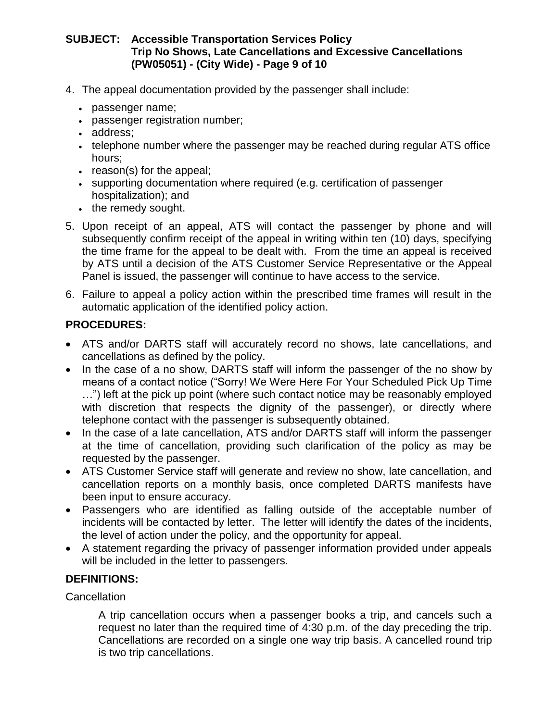# **SUBJECT: Accessible Transportation Services Policy Trip No Shows, Late Cancellations and Excessive Cancellations (PW05051) - (City Wide) - Page 9 of 10**

- 4. The appeal documentation provided by the passenger shall include:
	- passenger name;
	- passenger registration number;
	- address;
	- telephone number where the passenger may be reached during regular ATS office hours;
	- reason(s) for the appeal;
	- supporting documentation where required (e.g. certification of passenger hospitalization); and
	- the remedy sought.
- 5. Upon receipt of an appeal, ATS will contact the passenger by phone and will subsequently confirm receipt of the appeal in writing within ten (10) days, specifying the time frame for the appeal to be dealt with. From the time an appeal is received by ATS until a decision of the ATS Customer Service Representative or the Appeal Panel is issued, the passenger will continue to have access to the service.
- 6. Failure to appeal a policy action within the prescribed time frames will result in the automatic application of the identified policy action.

# **PROCEDURES:**

- ATS and/or DARTS staff will accurately record no shows, late cancellations, and cancellations as defined by the policy.
- In the case of a no show, DARTS staff will inform the passenger of the no show by means of a contact notice ("Sorry! We Were Here For Your Scheduled Pick Up Time …") left at the pick up point (where such contact notice may be reasonably employed with discretion that respects the dignity of the passenger), or directly where telephone contact with the passenger is subsequently obtained.
- In the case of a late cancellation, ATS and/or DARTS staff will inform the passenger at the time of cancellation, providing such clarification of the policy as may be requested by the passenger.
- ATS Customer Service staff will generate and review no show, late cancellation, and cancellation reports on a monthly basis, once completed DARTS manifests have been input to ensure accuracy.
- Passengers who are identified as falling outside of the acceptable number of incidents will be contacted by letter. The letter will identify the dates of the incidents, the level of action under the policy, and the opportunity for appeal.
- A statement regarding the privacy of passenger information provided under appeals will be included in the letter to passengers.

# **DEFINITIONS:**

#### **Cancellation**

A trip cancellation occurs when a passenger books a trip, and cancels such a request no later than the required time of 4:30 p.m. of the day preceding the trip. Cancellations are recorded on a single one way trip basis. A cancelled round trip is two trip cancellations.